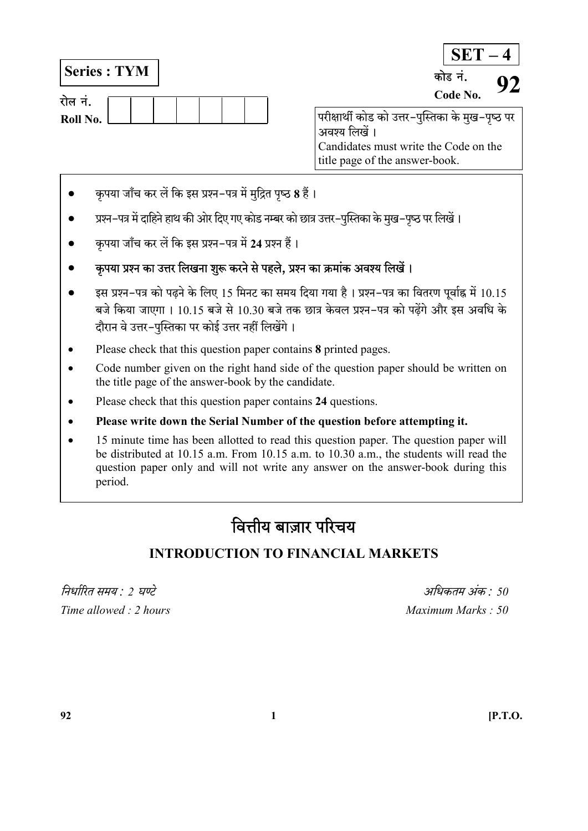Series : TYM

| राल न.   |  |  |  |  |
|----------|--|--|--|--|
| Roll No. |  |  |  |  |

 $SET - 4$ परीक्षार्थी कोड को उत्तर-पुस्तिका के मुख-पृष्ठ पर कोड नं.  $\frac{6.5}{\text{Code No.}}$  92

अवश्य लिखें । Candidates must write the Code on the title page of the answer-book.

- कृपया जाँच कर लें कि इस प्रश्न-पत्र में मुद्रित पृष्ठ 8 हैं।
- प्रश्न–पत्र में दाहिने हाथ की ओर दिए गए कोड नम्बर को छात्र उत्तर–पुस्तिका के मुख–पुष्ठ पर लिखें।
- कृपया जाँच कर लें कि इस प्रश्न-पत्र में 24 प्रश्न हैं।
- कृपया प्रश्न का उत्तर लिखना शुरू करने से पहले, प्रश्न का क्रमांक अवश्य लिखें।
- $\bullet$  sस प्रश्न–पत्र को पढ़ने के लिए 15 मिनट का समय दिया गया है । प्रश्न–पत्र का वितरण पूर्वाह्न में 10.15 बजे किया जाएगा । 10.15 बजे से 10.30 बजे तक छात्र केवल प्रश्न-पत्र को पढेंगे और इस अवधि के दौरान वे उत्तर-पुस्तिका पर कोई उत्तर नहीं लिखेंगे।
- Please check that this question paper contains 8 printed pages.
- Code number given on the right hand side of the question paper should be written on the title page of the answer-book by the candidate.
- Please check that this question paper contains 24 questions.
- Please write down the Serial Number of the question before attempting it.
- 15 minute time has been allotted to read this question paper. The question paper will be distributed at 10.15 a.m. From 10.15 a.m. to 10.30 a.m., the students will read the question paper only and will not write any answer on the answer-book during this period.

# वित्तीय बाज़ार परिचय

## INTRODUCTION TO FINANCIAL MARKETS

 $\hat{u}$ निर्धारित समय  $\cdot$  ) घण्टे $\hat{u}$ Time allowed : 2 hours and the set of the Maximum Marks : 50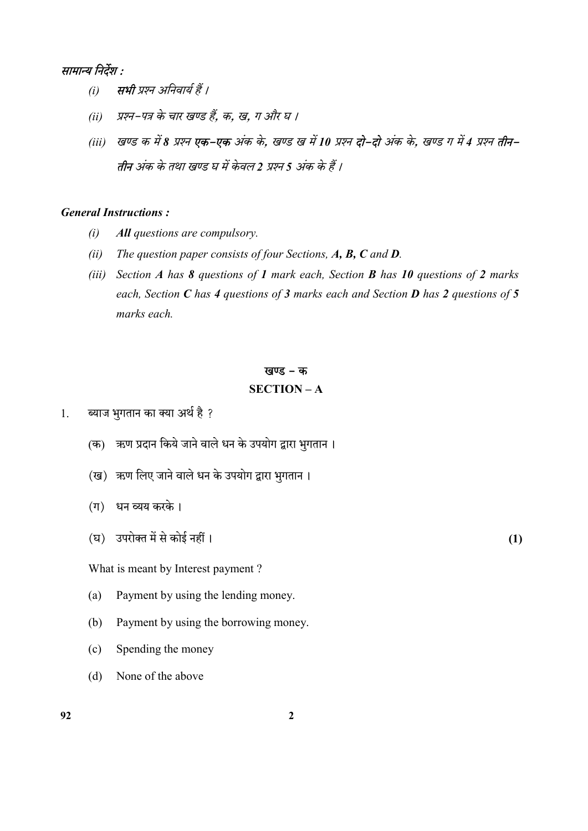## सामान्य निर्देश :

- (i) सभी प्रश्न अनिवार्य हैं ।
- (ii) प्रश्न-पत्र के चार खण्ड हैं, क, ख, ग और घ ।
- (iii) खण्ड क में 8 प्रश्न **एक-एक** अंक के, खण्ड ख में 10 प्रश्न **दो-दो** अंक के, खण्ड ग में 4 प्रश्न **तीन-**तीन अंक के तथा खण्ड घ में केवल 2 प्रश्न 5 अंक के हैं ।

## General Instructions :

- (i) All questions are compulsory.
- (ii) The question paper consists of four Sections,  $A$ ,  $B$ ,  $C$  and  $D$ .
- (iii) Section A has 8 questions of 1 mark each, Section **B** has 10 questions of 2 marks each, Section C has 4 questions of 3 marks each and Section **D** has 2 questions of 5 marks each.

#### खण्ड – क

#### SECTION – A

- 1. ब्याज भुगतान का क्या अर्थ है ?
	- (क) ऋण प्रदान किये जाने वाले धन के उपयोग द्वारा भुगतान ।
	- (ख) ऋण लिए जाने वाले धन के उपयोग द्वारा भुगतान।
	- $($ ग) धन व्यय करके।
	- $(\overline{u})$  उपरोक्त में से कोई नहीं ।  $(1)$

What is meant by Interest payment ?

- (a) Payment by using the lending money.
- (b) Payment by using the borrowing money.
- (c) Spending the money
- (d) None of the above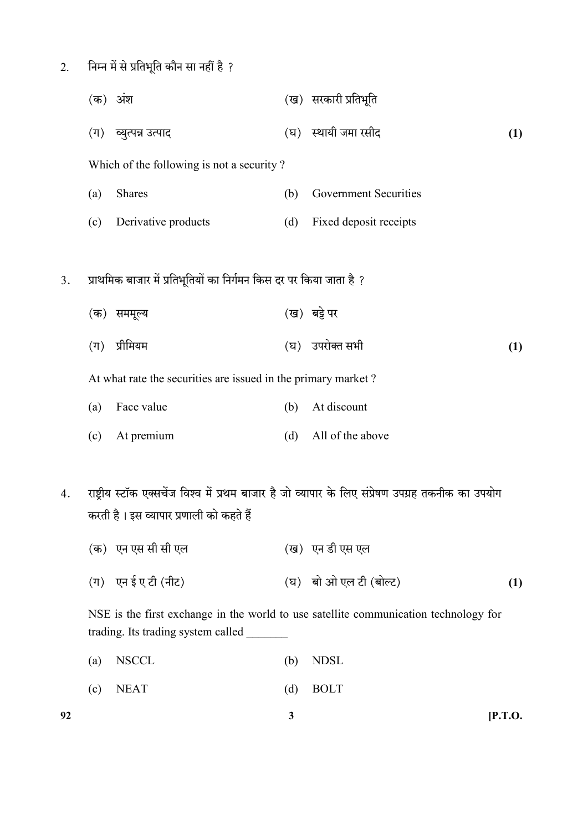$2.$  निम्न में से प्रतिभूति कौन सा नहीं है ?

|    |                                                               | (क) अंश                                                             |     | (ख) सरकारी प्रतिभूति                                                                               |     |  |  |  |  |  |
|----|---------------------------------------------------------------|---------------------------------------------------------------------|-----|----------------------------------------------------------------------------------------------------|-----|--|--|--|--|--|
|    |                                                               | (ग) व्युत्पन्न उत्पाद                                               |     | (घ) स्थायी जमा रसीद                                                                                | (1) |  |  |  |  |  |
|    | Which of the following is not a security?                     |                                                                     |     |                                                                                                    |     |  |  |  |  |  |
|    | (a)                                                           | Shares                                                              | (b) | <b>Government Securities</b>                                                                       |     |  |  |  |  |  |
|    | (c)                                                           | Derivative products                                                 | (d) | Fixed deposit receipts                                                                             |     |  |  |  |  |  |
|    |                                                               |                                                                     |     |                                                                                                    |     |  |  |  |  |  |
| 3. |                                                               | प्राथमिक बाजार में प्रतिभूतियों का निर्गमन किस दर पर किया जाता है ? |     |                                                                                                    |     |  |  |  |  |  |
|    |                                                               | (क) सममूल्य                                                         |     | (ख) बट्टे पर                                                                                       |     |  |  |  |  |  |
|    | $(\Pi)$                                                       | प्रीमियम                                                            |     | (घ) उपरोक्त सभी                                                                                    | (1) |  |  |  |  |  |
|    | At what rate the securities are issued in the primary market? |                                                                     |     |                                                                                                    |     |  |  |  |  |  |
|    | (a)                                                           | Face value                                                          | (b) | At discount                                                                                        |     |  |  |  |  |  |
|    | (c)                                                           | At premium                                                          | (d) | All of the above                                                                                   |     |  |  |  |  |  |
|    |                                                               |                                                                     |     |                                                                                                    |     |  |  |  |  |  |
| 4. |                                                               |                                                                     |     | राष्ट्रीय स्टॉक एक्सचेंज विश्व में प्रथम बाजार है जो व्यापार के लिए संप्रेषण उपग्रह तकनीक का उपयोग |     |  |  |  |  |  |
|    |                                                               | करती है। इस व्यापार प्रणाली को कहते हैं                             |     |                                                                                                    |     |  |  |  |  |  |
|    |                                                               | (क) एन एस सी सी एल                                                  |     | (ख) एन डी एस एल                                                                                    |     |  |  |  |  |  |
|    |                                                               | (ग) एन ई ए टी (नीट)                                                 |     | (घ) बो ओ एल टी (बोल्ट)                                                                             | (1) |  |  |  |  |  |
|    |                                                               |                                                                     |     |                                                                                                    |     |  |  |  |  |  |

NSE is the first exchange in the world to use satellite communication technology for trading. Its trading system called \_\_\_\_\_\_\_

- (a) NSCCL (b) NDSL
- (c) NEAT (d) BOLT

92  $\frac{3}{ }$  [P.T.O.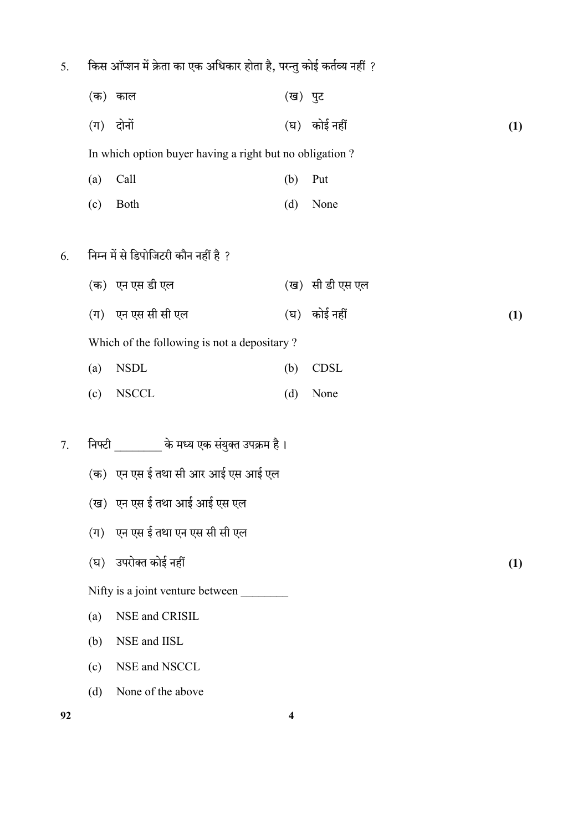|  |  |  | किस ऑप्शन में क्रेता का एक अधिकार होता है, परन्तु कोई कर्तव्य नहीं ? |  |  |  |
|--|--|--|----------------------------------------------------------------------|--|--|--|
|  |  |  |                                                                      |  |  |  |

 $(\overline{a})$  काल  $(\overline{a})$  पुट  $(\pi)$  दोनों (a) (a) कोई नहीं (a) (b) (b)

In which option buyer having a right but no obligation ?

- (a) Call (b) Put
- (c) Both (d) None

## $6.$  निम्न में से डिपोजिटरी कौन नहीं है ?

 $(\overline{a})$  एन एस डी एल  $(\overline{a})$  सी डी एस एल  $(\pi)$  एन एस सी सी एल  $(1)$  कोई नहीं  $(1)$ 

Which of the following is not a depositary ?

- (a) NSDL (b) CDSL
- (c) NSCCL (d) None
- 7. निफ्टी \_\_\_\_\_\_\_\_\_ के मध्य एक संयुक्त उपक्रम है।
	- (क) एन एस ई तथा सी आर आई एस आई एल
	- (ख) एन एस ई तथा आई आई एस एल
	- $($ ग) एन एस ई तथा एन एस सी सी एल
	- $(1)$  उपरोक्त कोई नहीं (1)
	- Nifty is a joint venture between
	- (a) NSE and CRISIL
	- (b) NSE and IISL
	- (c) NSE and NSCCL
	- (d) None of the above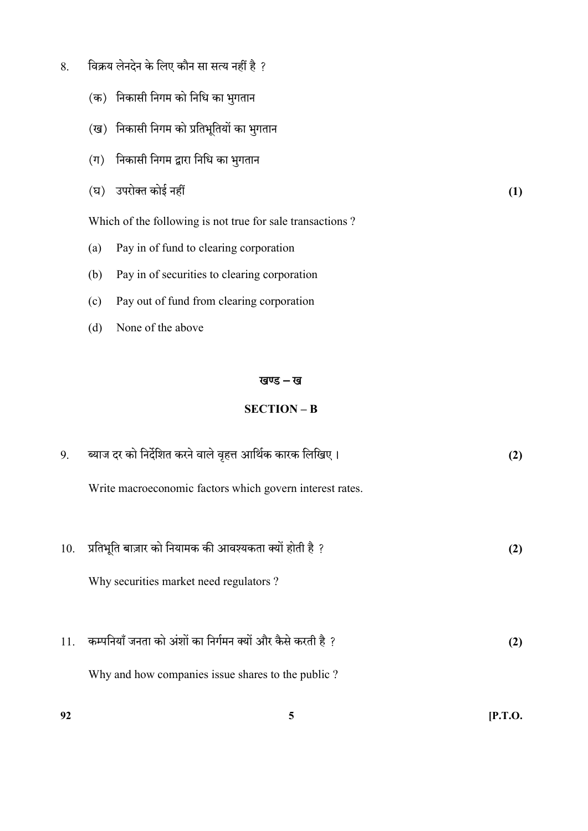- 8. विक्रय लेनदेन के लिए कौन सा सत्य नहीं है ?
	- (क) निकासी निगम को निधि का भुगतान
	- (ख) निकासी निगम को प्रतिभूतियों का भुगतान
	- $(1)$  निकासी निगम द्वारा निधि का भुगतान
	- $(1)$  उपरोक्त कोई नहीं (1)

Which of the following is not true for sale transactions ?

- (a) Pay in of fund to clearing corporation
- (b) Pay in of securities to clearing corporation
- (c) Pay out of fund from clearing corporation
- (d) None of the above

#### खण्ड - ख

#### SECTION – B

| 9.  | ब्याज दर को निर्देशित करने वाले वृहत्त आर्थिक कारक लिखिए।  | (2) |
|-----|------------------------------------------------------------|-----|
|     | Write macroeconomic factors which govern interest rates.   |     |
|     |                                                            |     |
| 10. | प्रतिभूति बाज़ार को नियामक की आवश्यकता क्यों होती है ?     | (2) |
|     | Why securities market need regulators?                     |     |
| 11. | कम्पनियाँ जनता को अंशों का निर्गमन क्यों और कैसे करती है ? | (2) |
|     | Why and how companies issue shares to the public?          |     |
|     |                                                            |     |

92  $5$  [P.T.O.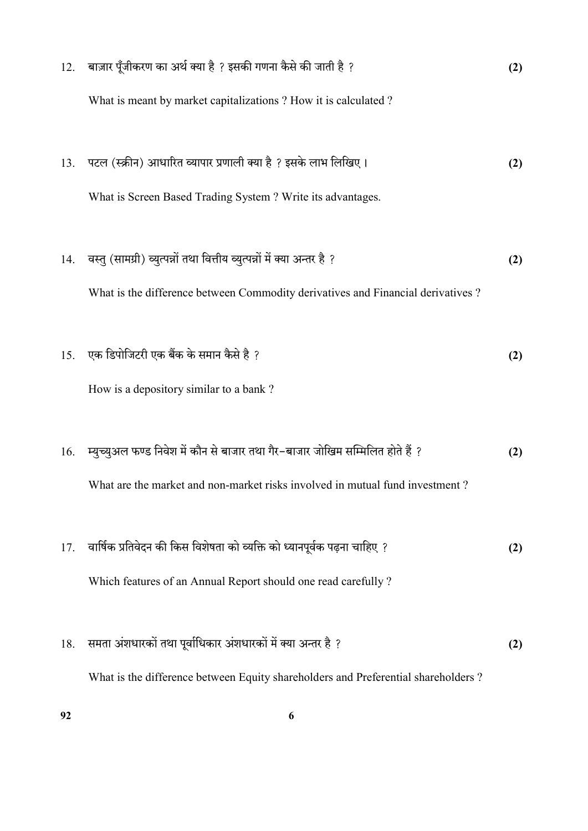| 12. | बाज़ार पूँजीकरण का अर्थ क्या है ? इसकी गणना कैसे की जाती है ?                     | (2) |
|-----|-----------------------------------------------------------------------------------|-----|
|     | What is meant by market capitalizations ? How it is calculated ?                  |     |
| 13. | पटल (स्क्रीन) आधारित व्यापार प्रणाली क्या है ? इसके लाभ लिखिए।                    | (2) |
|     | What is Screen Based Trading System ? Write its advantages.                       |     |
| 14. | वस्तु (सामग्री) व्युत्पन्नों तथा वित्तीय व्युत्पन्नों में क्या अन्तर है ?         | (2) |
|     | What is the difference between Commodity derivatives and Financial derivatives?   |     |
| 15. | एक डिपोजिटरी एक बैंक के समान कैसे है ?                                            | (2) |
|     | How is a depository similar to a bank?                                            |     |
| 16. | म्युच्युअल फण्ड निवेश में कौन से बाजार तथा गैर-बाजार जोखिम सम्मिलित होते हैं ?    | (2) |
|     | What are the market and non-market risks involved in mutual fund investment?      |     |
| 17. | वार्षिक प्रतिवेदन की किस विशेषता को व्यक्ति को ध्यानपूर्वक पढ़ना चाहिए ?          | (2) |
|     | Which features of an Annual Report should one read carefully?                     |     |
|     |                                                                                   |     |
| 18. | समता अंशधारकों तथा पूर्वाधिकार अंशधारकों में क्या अन्तर है ?                      | (2) |
|     | What is the difference between Equity shareholders and Preferential shareholders? |     |

 $92$  6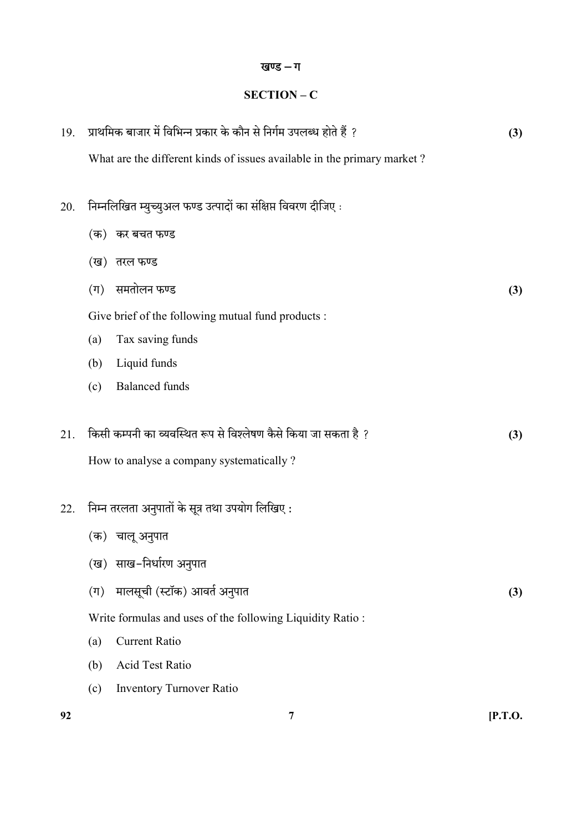## खण्ड – ग

## SECTION – C

| 19. | प्राथमिक बाजार में विभिन्न प्रकार के कौन से निर्गम उपलब्ध होते हैं ?    |     |  |  |  |  |  |
|-----|-------------------------------------------------------------------------|-----|--|--|--|--|--|
|     | What are the different kinds of issues available in the primary market? |     |  |  |  |  |  |
| 20. | निम्नलिखित म्युच्युअल फण्ड उत्पादों का संक्षिप्त विवरण दीजिए:           |     |  |  |  |  |  |
|     | (क)) कर बचत फण्ड                                                        |     |  |  |  |  |  |
|     | (ख)) तरल फण्ड                                                           |     |  |  |  |  |  |
|     | समतोलन फण्ड<br>$(\Pi)$                                                  | (3) |  |  |  |  |  |
|     | Give brief of the following mutual fund products :                      |     |  |  |  |  |  |
|     | Tax saving funds<br>(a)                                                 |     |  |  |  |  |  |
|     | Liquid funds<br>(b)                                                     |     |  |  |  |  |  |
|     | <b>Balanced</b> funds<br>(c)                                            |     |  |  |  |  |  |
| 21. | किसी कम्पनी का व्यवस्थित रूप से विश्लेषण कैसे किया जा सकता है ?         | (3) |  |  |  |  |  |
|     | How to analyse a company systematically?                                |     |  |  |  |  |  |
| 22. | निम्न तरलता अनुपातों के सूत्र तथा उपयोग लिखिए :                         |     |  |  |  |  |  |
|     | (क) चालू अनुपात                                                         |     |  |  |  |  |  |
|     | (ख)) साख-निर्धारण अनुपात                                                |     |  |  |  |  |  |
|     | मालसूची (स्टॉक) आवर्त अनुपात<br>$(\Pi)$                                 | (3) |  |  |  |  |  |
|     | Write formulas and uses of the following Liquidity Ratio:               |     |  |  |  |  |  |
|     | <b>Current Ratio</b><br>(a)                                             |     |  |  |  |  |  |
|     | Acid Test Ratio<br>(b)                                                  |     |  |  |  |  |  |
|     | <b>Inventory Turnover Ratio</b><br>(c)                                  |     |  |  |  |  |  |
|     |                                                                         |     |  |  |  |  |  |